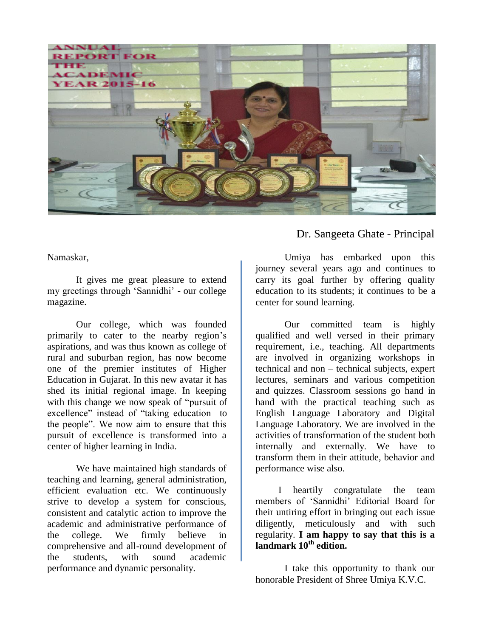

Namaskar,

It gives me great pleasure to extend my greetings through "Sannidhi" - our college magazine.

Our college, which was founded primarily to cater to the nearby region"s aspirations, and was thus known as college of rural and suburban region, has now become one of the premier institutes of Higher Education in Gujarat. In this new avatar it has shed its initial regional image. In keeping with this change we now speak of "pursuit of excellence" instead of "taking education to the people". We now aim to ensure that this pursuit of excellence is transformed into a center of higher learning in India.

We have maintained high standards of teaching and learning, general administration, efficient evaluation etc. We continuously strive to develop a system for conscious, consistent and catalytic action to improve the academic and administrative performance of the college. We firmly believe in comprehensive and all-round development of the students, with sound academic performance and dynamic personality.

Dr. Sangeeta Ghate - Principal

Umiya has embarked upon this journey several years ago and continues to carry its goal further by offering quality education to its students; it continues to be a center for sound learning.

Our committed team is highly qualified and well versed in their primary requirement, i.e., teaching. All departments are involved in organizing workshops in technical and non – technical subjects, expert lectures, seminars and various competition and quizzes. Classroom sessions go hand in hand with the practical teaching such as English Language Laboratory and Digital Language Laboratory. We are involved in the activities of transformation of the student both internally and externally. We have to transform them in their attitude, behavior and performance wise also.

I heartily congratulate the team members of "Sannidhi" Editorial Board for their untiring effort in bringing out each issue diligently, meticulously and with such regularity. **I am happy to say that this is a landmark 10th edition.**

I take this opportunity to thank our honorable President of Shree Umiya K.V.C.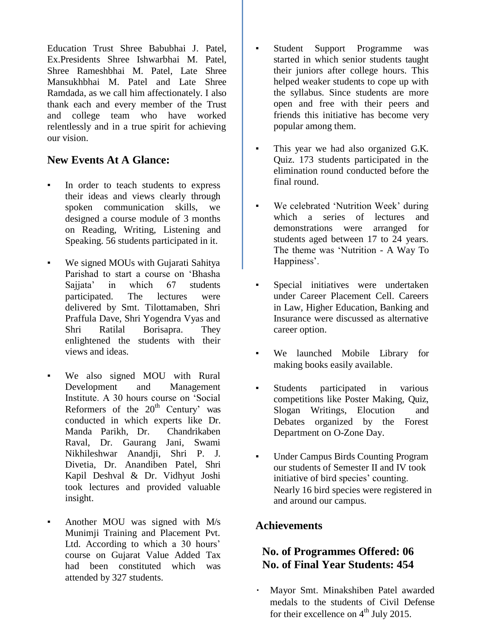Education Trust Shree Babubhai J. Patel, Ex.Presidents Shree Ishwarbhai M. Patel, Shree Rameshbhai M. Patel, Late Shree Mansukhbhai M. Patel and Late Shree Ramdada, as we call him affectionately. I also thank each and every member of the Trust and college team who have worked relentlessly and in a true spirit for achieving our vision.

## **New Events At A Glance:**

- In order to teach students to express their ideas and views clearly through spoken communication skills, we designed a course module of 3 months on Reading, Writing, Listening and Speaking. 56 students participated in it.
- We signed MOUs with Gujarati Sahitya Parishad to start a course on "Bhasha Sajjata' in which 67 students participated. The lectures were delivered by Smt. Tilottamaben, Shri Praffula Dave, Shri Yogendra Vyas and Shri Ratilal Borisapra. They enlightened the students with their views and ideas.
- We also signed MOU with Rural Development and Management Institute. A 30 hours course on "Social Reformers of the  $20<sup>th</sup>$  Century' was conducted in which experts like Dr. Manda Parikh, Dr. Chandrikaben Raval, Dr. Gaurang Jani, Swami Nikhileshwar Anandii, Shri P. J. Divetia, Dr. Anandiben Patel, Shri Kapil Deshval & Dr. Vidhyut Joshi took lectures and provided valuable insight.
- Another MOU was signed with M/s Munimji Training and Placement Pvt. Ltd. According to which a 30 hours' course on Gujarat Value Added Tax had been constituted which was attended by 327 students.
- Student Support Programme was started in which senior students taught their juniors after college hours. This helped weaker students to cope up with the syllabus. Since students are more open and free with their peers and friends this initiative has become very popular among them.
- This year we had also organized G.K. Quiz. 173 students participated in the elimination round conducted before the final round.
- We celebrated 'Nutrition Week' during which a series of lectures and demonstrations were arranged for students aged between 17 to 24 years. The theme was "Nutrition - A Way To Happiness'.
- Special initiatives were undertaken under Career Placement Cell. Careers in Law, Higher Education, Banking and Insurance were discussed as alternative career option.
- We launched Mobile Library for making books easily available.
- Students participated in various competitions like Poster Making, Quiz, Slogan Writings, Elocution and Debates organized by the Forest Department on O-Zone Day.
- Under Campus Birds Counting Program our students of Semester II and IV took initiative of bird species' counting. Nearly 16 bird species were registered in and around our campus.

# **Achievements**

## **No. of Programmes Offered: 06 No. of Final Year Students: 454**

Mayor Smt. Minakshiben Patel awarded medals to the students of Civil Defense for their excellence on  $4^{th}$  July 2015.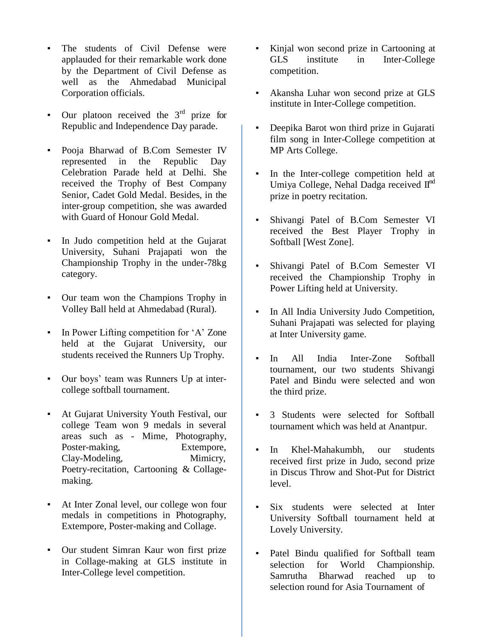- The students of Civil Defense were applauded for their remarkable work done by the Department of Civil Defense as well as the Ahmedabad Municipal Corporation officials.
- **•** Our platoon received the  $3<sup>rd</sup>$  prize for Republic and Independence Day parade.
- Pooja Bharwad of B.Com Semester IV represented in the Republic Day Celebration Parade held at Delhi. She received the Trophy of Best Company Senior, Cadet Gold Medal. Besides, in the inter-group competition, she was awarded with Guard of Honour Gold Medal.
- In Judo competition held at the Gujarat University, Suhani Prajapati won the Championship Trophy in the under-78kg category.
- Our team won the Champions Trophy in Volley Ball held at Ahmedabad (Rural).
- **•** In Power Lifting competition for 'A' Zone held at the Gujarat University, our students received the Runners Up Trophy.
- Our boys" team was Runners Up at intercollege softball tournament.
- At Gujarat University Youth Festival, our college Team won 9 medals in several areas such as - Mime, Photography, Poster-making, Extempore, Clay-Modeling, Mimicry, Poetry-recitation, Cartooning & Collagemaking.
- At Inter Zonal level, our college won four medals in competitions in Photography, Extempore, Poster-making and Collage.
- Our student Simran Kaur won first prize in Collage-making at GLS institute in Inter-College level competition.
- Kinjal won second prize in Cartooning at GLS institute in Inter-College competition.
- Akansha Luhar won second prize at GLS institute in Inter-College competition.
- Deepika Barot won third prize in Gujarati film song in Inter-College competition at MP Arts College.
- In the Inter-college competition held at Umiya College, Nehal Dadga received  $\mathbf{II}^{\text{nd}}$ prize in poetry recitation.
- Shivangi Patel of B.Com Semester VI received the Best Player Trophy in Softball [West Zone].
- Shivangi Patel of B.Com Semester VI received the Championship Trophy in Power Lifting held at University.
- In All India University Judo Competition, Suhani Prajapati was selected for playing at Inter University game.
- In All India Inter-Zone Softball tournament, our two students Shivangi Patel and Bindu were selected and won the third prize.
- 3 Students were selected for Softball tournament which was held at Anantpur.
- In Khel-Mahakumbh, our students received first prize in Judo, second prize in Discus Throw and Shot-Put for District level.
- Six students were selected at Inter University Softball tournament held at Lovely University.
- Patel Bindu qualified for Softball team selection for World Championship. Samrutha Bharwad reached up to selection round for Asia Tournament of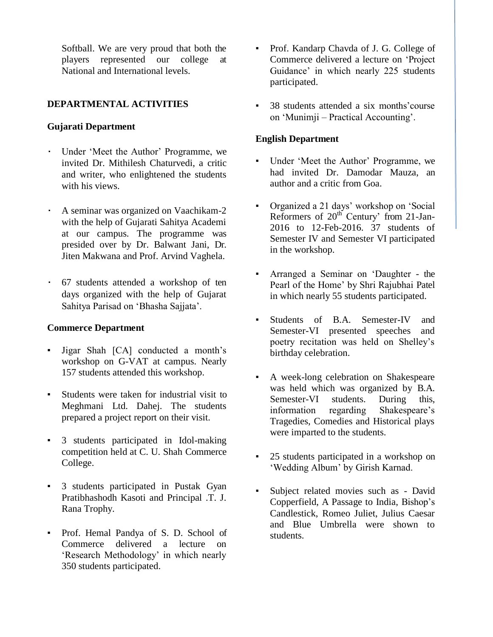Softball. We are very proud that both the players represented our college at National and International levels.

## **DEPARTMENTAL ACTIVITIES**

#### **Gujarati Department**

- Under "Meet the Author" Programme, we invited Dr. Mithilesh Chaturvedi, a critic and writer, who enlightened the students with his views.
- A seminar was organized on Vaachikam-2 with the help of Gujarati Sahitya Academi at our campus. The programme was presided over by Dr. Balwant Jani, Dr. Jiten Makwana and Prof. Arvind Vaghela.
- 67 students attended a workshop of ten days organized with the help of Gujarat Sahitya Parisad on "Bhasha Sajjata".

#### **Commerce Department**

- Jigar Shah [CA] conducted a month"s workshop on G-VAT at campus. Nearly 157 students attended this workshop.
- Students were taken for industrial visit to Meghmani Ltd. Dahej. The students prepared a project report on their visit.
- 3 students participated in Idol-making competition held at C. U. Shah Commerce College.
- 3 students participated in Pustak Gyan Pratibhashodh Kasoti and Principal .T. J. Rana Trophy.
- Prof. Hemal Pandya of S. D. School of Commerce delivered a lecture on 'Research Methodology' in which nearly 350 students participated.
- Prof. Kandarp Chavda of J. G. College of Commerce delivered a lecture on "Project Guidance' in which nearly 225 students participated.
- 38 students attended a six months' course on "Munimji – Practical Accounting".

#### **English Department**

- Under 'Meet the Author' Programme, we had invited Dr. Damodar Mauza, an author and a critic from Goa.
- Organized a 21 days' workshop on 'Social Reformers of  $20^{th}$  Century' from 21-Jan-2016 to 12-Feb-2016. 37 students of Semester IV and Semester VI participated in the workshop.
- Arranged a Seminar on 'Daughter the Pearl of the Home' by Shri Rajubhai Patel in which nearly 55 students participated.
- Students of B.A. Semester-IV and Semester-VI presented speeches and poetry recitation was held on Shelley"s birthday celebration.
- A week-long celebration on Shakespeare was held which was organized by B.A. Semester-VI students. During this, information regarding Shakespeare"s Tragedies, Comedies and Historical plays were imparted to the students.
- 25 students participated in a workshop on 'Wedding Album' by Girish Karnad.
- Subject related movies such as David Copperfield, A Passage to India, Bishop"s Candlestick, Romeo Juliet, Julius Caesar and Blue Umbrella were shown to students.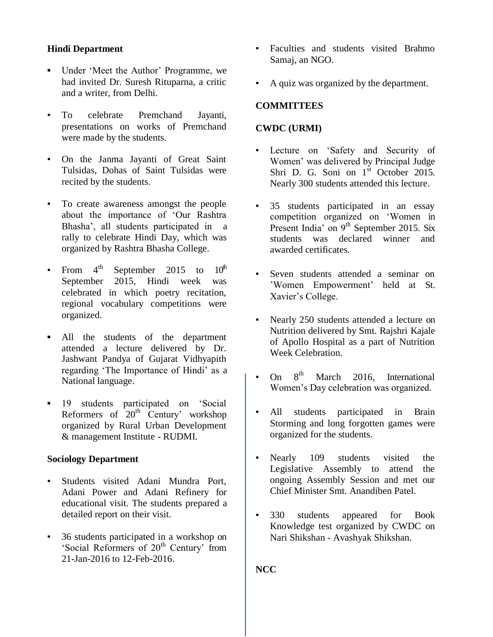## **Hindi Department**

- Under 'Meet the Author' Programme, we had invited Dr. Suresh Rituparna, a critic and a writer, from Delhi.
- To celebrate Premchand Jayanti, presentations on works of Premchand were made by the students.
- On the Janma Jayanti of Great Saint Tulsidas, Dohas of Saint Tulsidas were recited by the students.
- To create awareness amongst the people about the importance of "Our Rashtra Bhasha", all students participated in a rally to celebrate Hindi Day, which was organized by Rashtra Bhasha College.
- From  $4^{\text{th}}$  September 2015 to  $10^{\text{th}}$ September 2015, Hindi week was celebrated in which poetry recitation, regional vocabulary competitions were organized.
- **▪** All the students of the department attended a lecture delivered by Dr. Jashwant Pandya of Gujarat Vidhyapith regarding 'The Importance of Hindi' as a National language.
- **▪** 19 students participated on "Social Reformers of  $20<sup>th</sup>$  Century' workshop organized by Rural Urban Development & management Institute - RUDMI.

#### **Sociology Department**

- Students visited Adani Mundra Port, Adani Power and Adani Refinery for educational visit. The students prepared a detailed report on their visit.
- 36 students participated in a workshop on 'Social Reformers of 20<sup>th</sup> Century' from 21-Jan-2016 to 12-Feb-2016.
- Faculties and students visited Brahmo Samaj, an NGO.
- A quiz was organized by the department.

#### **COMMITTEES**

#### **CWDC (URMI)**

- Lecture on 'Safety and Security of Women" was delivered by Principal Judge Shri D. G. Soni on 1<sup>st</sup> October 2015. Nearly 300 students attended this lecture.
- 35 students participated in an essay competition organized on "Women in Present India' on 9<sup>th</sup> September 2015. Six students was declared winner and awarded certificates.
- Seven students attended a seminar on "Women Empowerment" held at St. Xavier's College.
- Nearly 250 students attended a lecture on Nutrition delivered by Smt. Rajshri Kajale of Apollo Hospital as a part of Nutrition Week Celebration.
- On  $8^{th}$  March 2016, International Women"s Day celebration was organized.
- All students participated in Brain Storming and long forgotten games were organized for the students.
- Nearly 109 students visited the Legislative Assembly to attend the ongoing Assembly Session and met our Chief Minister Smt. Anandiben Patel.
- 330 students appeared for Book Knowledge test organized by CWDC on Nari Shikshan - Avashyak Shikshan.

**NCC**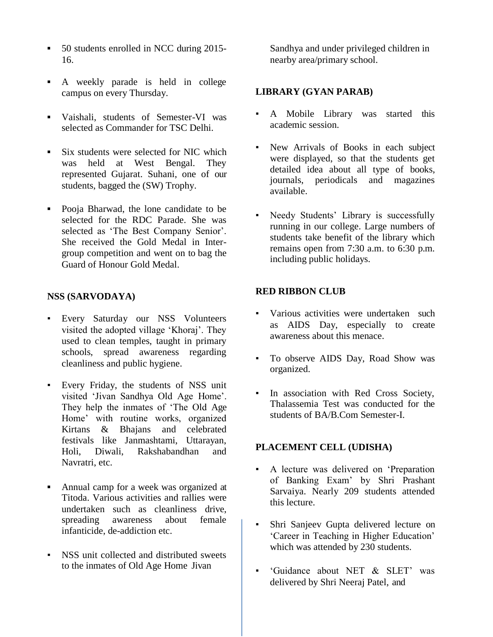- **▪** 50 students enrolled in NCC during 2015- 16.
- **▪** A weekly parade is held in college campus on every Thursday.
- **▪** Vaishali, students of Semester-VI was selected as Commander for TSC Delhi.
- **▪** Six students were selected for NIC which was held at West Bengal. They represented Gujarat. Suhani, one of our students, bagged the (SW) Trophy.
- **▪** Pooja Bharwad, the lone candidate to be selected for the RDC Parade. She was selected as 'The Best Company Senior'. She received the Gold Medal in Intergroup competition and went on to bag the Guard of Honour Gold Medal.

#### **NSS (SARVODAYA)**

- Every Saturday our NSS Volunteers visited the adopted village 'Khoraj'. They used to clean temples, taught in primary schools, spread awareness regarding cleanliness and public hygiene.
- Every Friday, the students of NSS unit visited "Jivan Sandhya Old Age Home". They help the inmates of "The Old Age Home" with routine works, organized Kirtans & Bhajans and celebrated festivals like Janmashtami, Uttarayan, Holi, Diwali, Rakshabandhan and Navratri, etc.
- **▪** Annual camp for a week was organized at Titoda. Various activities and rallies were undertaken such as cleanliness drive, spreading awareness about female infanticide, de-addiction etc.
- NSS unit collected and distributed sweets to the inmates of Old Age Home Jivan

Sandhya and under privileged children in nearby area/primary school.

#### **LIBRARY (GYAN PARAB)**

- A Mobile Library was started this academic session.
- New Arrivals of Books in each subject were displayed, so that the students get detailed idea about all type of books, journals, periodicals and magazines available.
- Needy Students' Library is successfully running in our college. Large numbers of students take benefit of the library which remains open from 7:30 a.m. to 6:30 p.m. including public holidays.

#### **RED RIBBON CLUB**

- Various activities were undertaken such as AIDS Day, especially to create awareness about this menace.
- To observe AIDS Day, Road Show was organized.
- In association with Red Cross Society, Thalassemia Test was conducted for the students of BA/B.Com Semester-I.

#### **PLACEMENT CELL (UDISHA)**

- A lecture was delivered on "Preparation of Banking Exam" by Shri Prashant Sarvaiya. Nearly 209 students attended this lecture.
- Shri Sanjeev Gupta delivered lecture on 'Career in Teaching in Higher Education' which was attended by 230 students.
- "Guidance about NET & SLET" was delivered by Shri Neeraj Patel, and